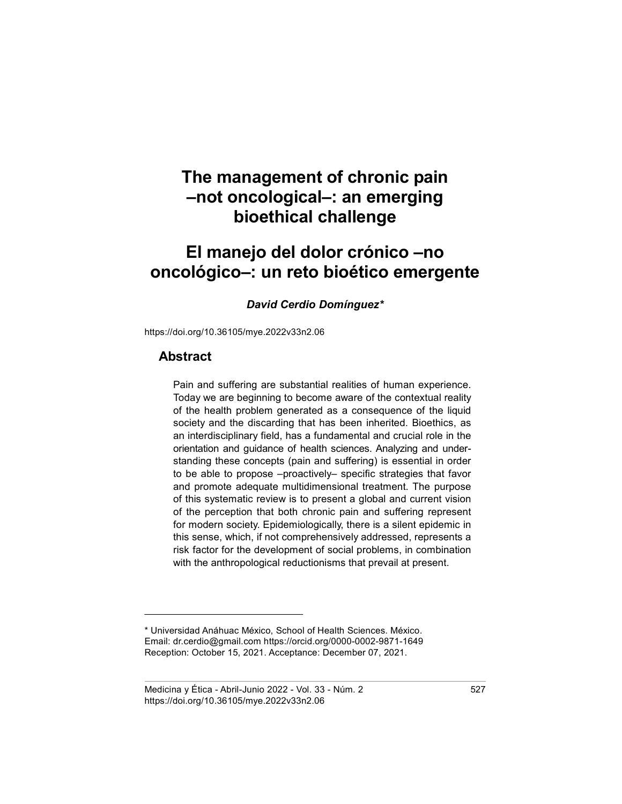# El manejo del dolor crónico –no oncológico–: un reto bioético emergente

#### David Cerdio Domínguez\*

https://doi.org/10.36105/mye.2022v33n2.06

### Abstract

Pain and suffering are substantial realities of human experience. Today we are beginning to become aware of the contextual reality of the health problem generated as a consequence of the liquid society and the discarding that has been inherited. Bioethics, as an interdisciplinary field, has a fundamental and crucial role in the orientation and guidance of health sciences. Analyzing and understanding these concepts (pain and suffering) is essential in order to be able to propose –proactively– specific strategies that favor and promote adequate multidimensional treatment. The purpose of this systematic review is to present a global and current vision of the perception that both chronic pain and suffering represent for modern society. Epidemiologically, there is a silent epidemic in this sense, which, if not comprehensively addressed, represents a risk factor for the development of social problems, in combination with the anthropological reductionisms that prevail at present.

<sup>\*</sup> Universidad Anáhuac México, School of Health Sciences. México. Email: dr.cerdio@gmail.com https://orcid.org/0000-0002-9871-1649 Reception: October 15, 2021. Acceptance: December 07, 2021.

Medicina y Ética - Abril-Junio 2022 - Vol. 33 - Núm. 2 527 https://doi.org/10.36105/mye.2022v33n2.06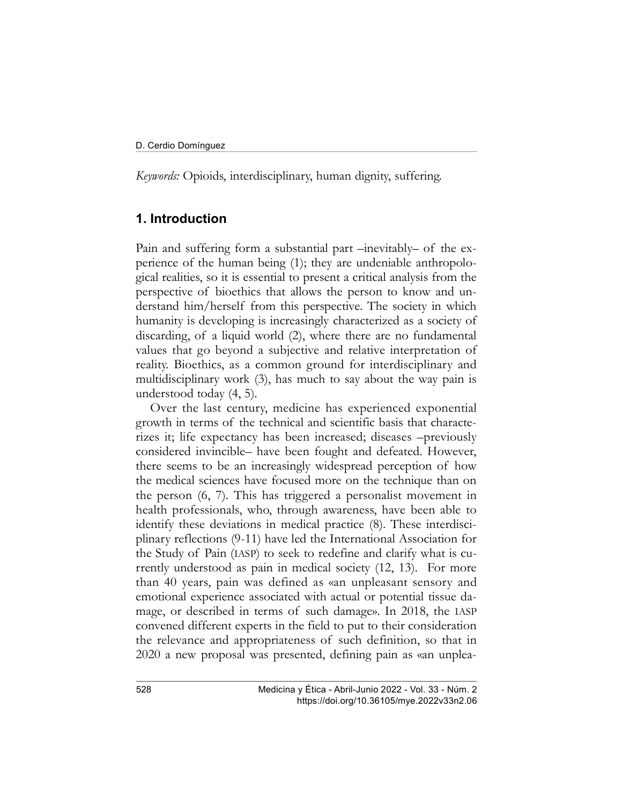Keywords: Opioids, interdisciplinary, human dignity, suffering.

### 1. Introduction

Pain and suffering form a substantial part –inevitably– of the experience of the human being (1); they are undeniable anthropological realities, so it is essential to present a critical analysis from the perspective of bioethics that allows the person to know and understand him/herself from this perspective. The society in which humanity is developing is increasingly characterized as a society of discarding, of a liquid world (2), where there are no fundamental values that go beyond a subjective and relative interpretation of reality. Bioethics, as a common ground for interdisciplinary and multidisciplinary work (3), has much to say about the way pain is understood today (4, 5).

Over the last century, medicine has experienced exponential growth in terms of the technical and scientific basis that characterizes it; life expectancy has been increased; diseases –previously considered invincible– have been fought and defeated. However, there seems to be an increasingly widespread perception of how the medical sciences have focused more on the technique than on the person (6, 7). This has triggered a personalist movement in health professionals, who, through awareness, have been able to identify these deviations in medical practice (8). These interdisciplinary reflections (9-11) have led the International Association for the Study of Pain (IASP) to seek to redefine and clarify what is currently understood as pain in medical society (12, 13). For more than 40 years, pain was defined as «an unpleasant sensory and emotional experience associated with actual or potential tissue damage, or described in terms of such damage». In 2018, the IASP convened different experts in the field to put to their consideration the relevance and appropriateness of such definition, so that in 2020 a new proposal was presented, defining pain as «an unplea-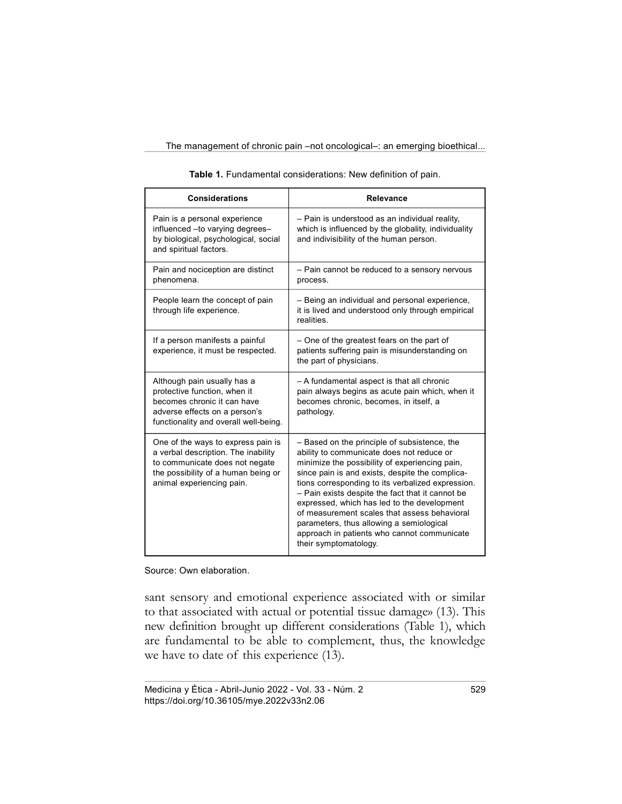| <b>Considerations</b>                                                                                                                                                           | Relevance                                                                                                                                                                                                                                                                                                                                                                                                                                                                                                                  |  |  |
|---------------------------------------------------------------------------------------------------------------------------------------------------------------------------------|----------------------------------------------------------------------------------------------------------------------------------------------------------------------------------------------------------------------------------------------------------------------------------------------------------------------------------------------------------------------------------------------------------------------------------------------------------------------------------------------------------------------------|--|--|
| Pain is a personal experience<br>influenced - to varying degrees-<br>by biological, psychological, social<br>and spiritual factors.                                             | - Pain is understood as an individual reality,<br>which is influenced by the globality, individuality<br>and indivisibility of the human person.                                                                                                                                                                                                                                                                                                                                                                           |  |  |
| Pain and nociception are distinct<br>phenomena.                                                                                                                                 | - Pain cannot be reduced to a sensory nervous<br>process.                                                                                                                                                                                                                                                                                                                                                                                                                                                                  |  |  |
| People learn the concept of pain<br>through life experience.                                                                                                                    | - Being an individual and personal experience,<br>it is lived and understood only through empirical<br>realities.                                                                                                                                                                                                                                                                                                                                                                                                          |  |  |
| If a person manifests a painful<br>experience, it must be respected.                                                                                                            | - One of the greatest fears on the part of<br>patients suffering pain is misunderstanding on<br>the part of physicians.                                                                                                                                                                                                                                                                                                                                                                                                    |  |  |
| Although pain usually has a<br>protective function, when it<br>becomes chronic it can have<br>adverse effects on a person's<br>functionality and overall well-being.            | - A fundamental aspect is that all chronic<br>pain always begins as acute pain which, when it<br>becomes chronic, becomes, in itself, a<br>pathology.                                                                                                                                                                                                                                                                                                                                                                      |  |  |
| One of the ways to express pain is<br>a verbal description. The inability<br>to communicate does not negate<br>the possibility of a human being or<br>animal experiencing pain. | - Based on the principle of subsistence, the<br>ability to communicate does not reduce or<br>minimize the possibility of experiencing pain,<br>since pain is and exists, despite the complica-<br>tions corresponding to its verbalized expression.<br>- Pain exists despite the fact that it cannot be<br>expressed, which has led to the development<br>of measurement scales that assess behavioral<br>parameters, thus allowing a semiological<br>approach in patients who cannot communicate<br>their symptomatology. |  |  |

Source: Own elaboration.

sant sensory and emotional experience associated with or similar to that associated with actual or potential tissue damage» (13). This new definition brought up different considerations (Table 1), which are fundamental to be able to complement, thus, the knowledge we have to date of this experience (13).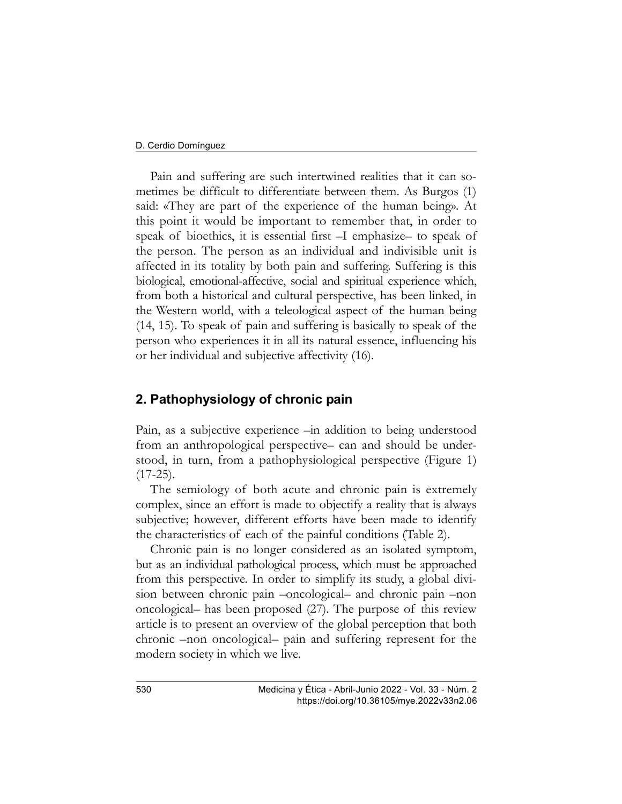Pain and suffering are such intertwined realities that it can sometimes be difficult to differentiate between them. As Burgos (1) said: «They are part of the experience of the human being». At this point it would be important to remember that, in order to speak of bioethics, it is essential first –I emphasize– to speak of the person. The person as an individual and indivisible unit is affected in its totality by both pain and suffering. Suffering is this biological, emotional-affective, social and spiritual experience which, from both a historical and cultural perspective, has been linked, in the Western world, with a teleological aspect of the human being (14, 15). To speak of pain and suffering is basically to speak of the person who experiences it in all its natural essence, influencing his or her individual and subjective affectivity (16).

### 2. Pathophysiology of chronic pain

Pain, as a subjective experience –in addition to being understood from an anthropological perspective– can and should be understood, in turn, from a pathophysiological perspective (Figure 1)  $(17-25)$ .

The semiology of both acute and chronic pain is extremely complex, since an effort is made to objectify a reality that is always subjective; however, different efforts have been made to identify the characteristics of each of the painful conditions (Table 2).

Chronic pain is no longer considered as an isolated symptom, but as an individual pathological process, which must be approached from this perspective. In order to simplify its study, a global division between chronic pain –oncological– and chronic pain –non oncological– has been proposed (27). The purpose of this review article is to present an overview of the global perception that both chronic –non oncological– pain and suffering represent for the modern society in which we live.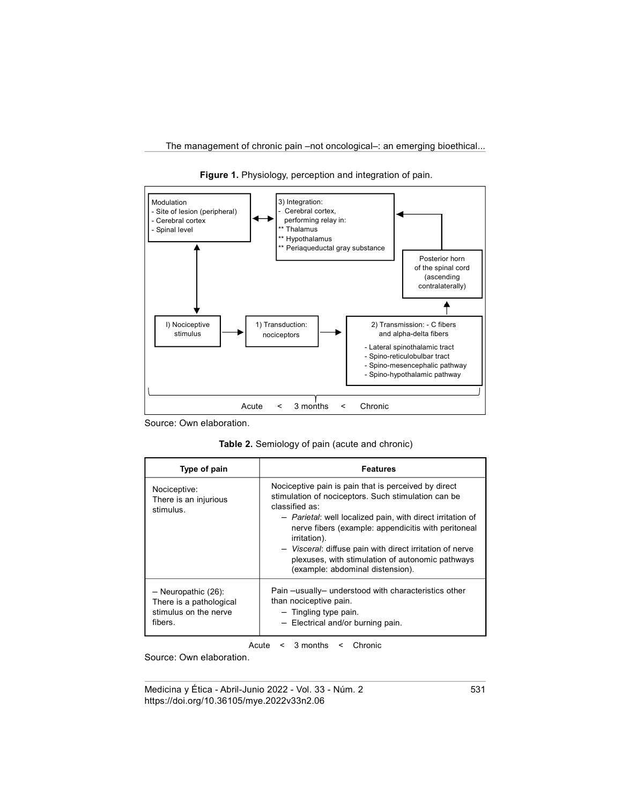

Figure 1. Physiology, perception and integration of pain.

Source: Own elaboration.

Table 2. Semiology of pain (acute and chronic)

| Type of pain                                                                         | <b>Features</b>                                                                                                                                                                                                                                                                                                                                                                                                        |  |  |
|--------------------------------------------------------------------------------------|------------------------------------------------------------------------------------------------------------------------------------------------------------------------------------------------------------------------------------------------------------------------------------------------------------------------------------------------------------------------------------------------------------------------|--|--|
| Nociceptive:<br>There is an injurious<br>stimulus.                                   | Nociceptive pain is pain that is perceived by direct<br>stimulation of nociceptors. Such stimulation can be<br>classified as:<br>- Parietal: well localized pain, with direct irritation of<br>nerve fibers (example: appendicitis with peritoneal<br>irritation).<br>- Visceral: diffuse pain with direct irritation of nerve<br>plexuses, with stimulation of autonomic pathways<br>(example: abdominal distension). |  |  |
| $-$ Neuropathic (26):<br>There is a pathological<br>stimulus on the nerve<br>fibers. | Pain -usually- understood with characteristics other<br>than nociceptive pain.<br>- Tingling type pain.<br>$-$ Electrical and/or burning pain.                                                                                                                                                                                                                                                                         |  |  |

Acute < 3 months < Chronic

Source: Own elaboration.

Medicina y Ética - Abril-Junio 2022 - Vol. 33 - Núm. 2 531 https://doi.org/10.36105/mye.2022v33n2.06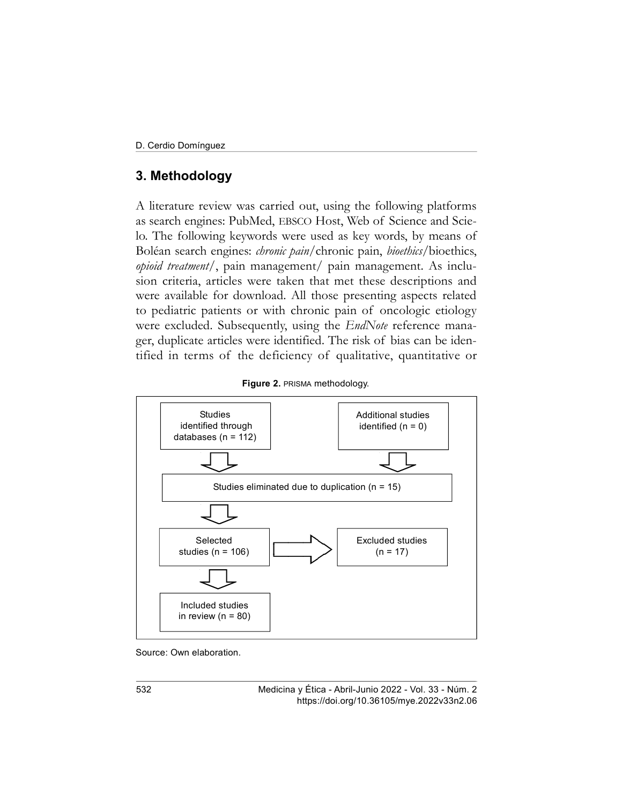# 3. Methodology

A literature review was carried out, using the following platforms as search engines: PubMed, EBSCO Host, Web of Science and Scielo. The following keywords were used as key words, by means of Boléan search engines: *chronic pain*/chronic pain, *bioethics*/bioethics, opioid treatment/, pain management/ pain management. As inclusion criteria, articles were taken that met these descriptions and were available for download. All those presenting aspects related to pediatric patients or with chronic pain of oncologic etiology were excluded. Subsequently, using the *EndNote* reference manager, duplicate articles were identified. The risk of bias can be identified in terms of the deficiency of qualitative, quantitative or





Source: Own elaboration.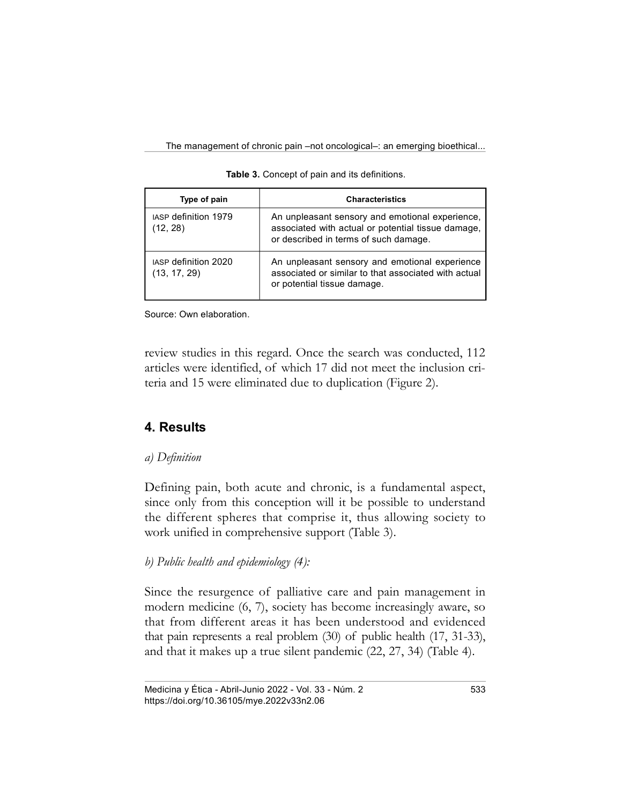| Type of pain                            | <b>Characteristics</b>                                                                                                                         |  |  |
|-----------------------------------------|------------------------------------------------------------------------------------------------------------------------------------------------|--|--|
| <b>IASP definition 1979</b><br>(12, 28) | An unpleasant sensory and emotional experience,<br>associated with actual or potential tissue damage,<br>or described in terms of such damage. |  |  |
| IASP definition 2020<br>(13, 17, 29)    | An unpleasant sensory and emotional experience<br>associated or similar to that associated with actual<br>or potential tissue damage.          |  |  |

Table 3. Concept of pain and its definitions.

Source: Own elaboration.

review studies in this regard. Once the search was conducted, 112 articles were identified, of which 17 did not meet the inclusion criteria and 15 were eliminated due to duplication (Figure 2).

# 4. Results

### a) Definition

Defining pain, both acute and chronic, is a fundamental aspect, since only from this conception will it be possible to understand the different spheres that comprise it, thus allowing society to work unified in comprehensive support (Table 3).

## b) Public health and epidemiology (4):

Since the resurgence of palliative care and pain management in modern medicine (6, 7), society has become increasingly aware, so that from different areas it has been understood and evidenced that pain represents a real problem (30) of public health (17, 31-33), and that it makes up a true silent pandemic (22, 27, 34) (Table 4).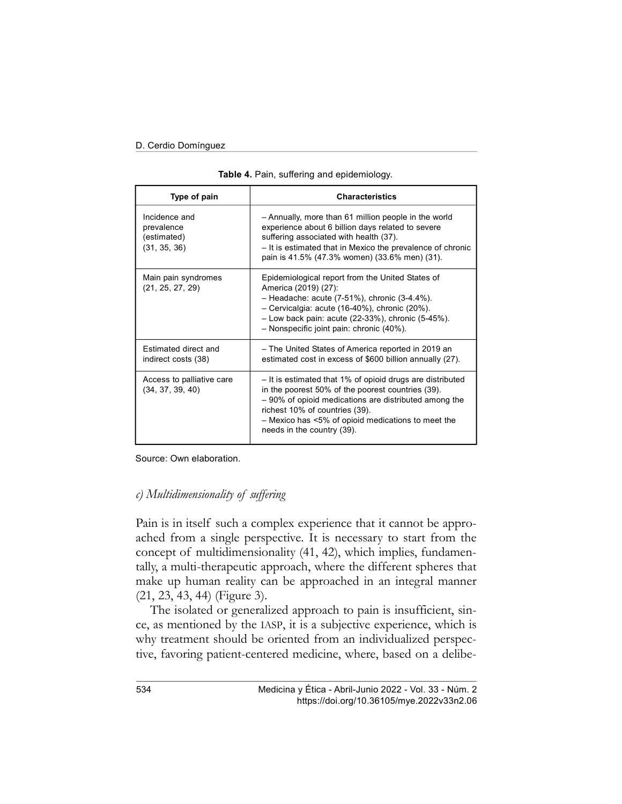| Type of pain                                               | <b>Characteristics</b>                                                                                                                                                                                                                                                                        |  |  |  |
|------------------------------------------------------------|-----------------------------------------------------------------------------------------------------------------------------------------------------------------------------------------------------------------------------------------------------------------------------------------------|--|--|--|
| Incidence and<br>prevalence<br>(estimated)<br>(31, 35, 36) | - Annually, more than 61 million people in the world<br>experience about 6 billion days related to severe<br>suffering associated with health (37).<br>- It is estimated that in Mexico the prevalence of chronic<br>pain is 41.5% (47.3% women) (33.6% men) (31).                            |  |  |  |
| Main pain syndromes<br>(21, 25, 27, 29)                    | Epidemiological report from the United States of<br>America (2019) (27):<br>$-$ Headache: acute (7-51%), chronic (3-4.4%).<br>- Cervicalgia: acute (16-40%), chronic (20%).<br>$-$ Low back pain: acute (22-33%), chronic (5-45%).<br>- Nonspecific joint pain: chronic (40%).                |  |  |  |
| <b>Estimated direct and</b><br>indirect costs (38)         | - The United States of America reported in 2019 an<br>estimated cost in excess of \$600 billion annually (27).                                                                                                                                                                                |  |  |  |
| Access to palliative care<br>(34, 37, 39, 40)              | - It is estimated that 1% of opioid drugs are distributed<br>in the poorest 50% of the poorest countries (39).<br>- 90% of opioid medications are distributed among the<br>richest 10% of countries (39).<br>- Mexico has <5% of opioid medications to meet the<br>needs in the country (39). |  |  |  |

|  | Table 4. Pain, suffering and epidemiology. |  |  |
|--|--------------------------------------------|--|--|
|  |                                            |  |  |

Source: Own elaboration.

#### c) Multidimensionality of suffering

Pain is in itself such a complex experience that it cannot be approached from a single perspective. It is necessary to start from the concept of multidimensionality (41, 42), which implies, fundamentally, a multi-therapeutic approach, where the different spheres that make up human reality can be approached in an integral manner (21, 23, 43, 44) (Figure 3).

The isolated or generalized approach to pain is insufficient, since, as mentioned by the IASP, it is a subjective experience, which is why treatment should be oriented from an individualized perspective, favoring patient-centered medicine, where, based on a delibe-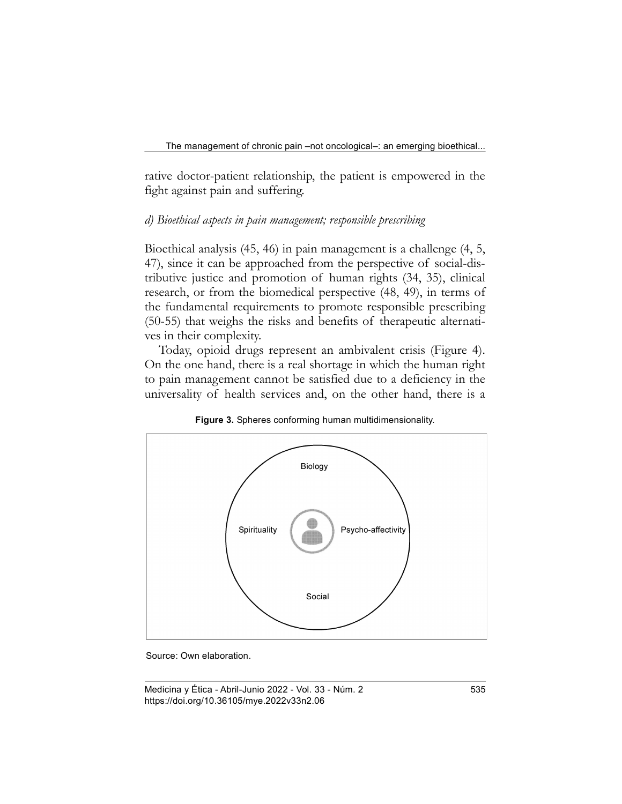rative doctor-patient relationship, the patient is empowered in the fight against pain and suffering.

#### d) Bioethical aspects in pain management; responsible prescribing

Bioethical analysis (45, 46) in pain management is a challenge (4, 5, 47), since it can be approached from the perspective of social-distributive justice and promotion of human rights (34, 35), clinical research, or from the biomedical perspective (48, 49), in terms of the fundamental requirements to promote responsible prescribing (50-55) that weighs the risks and benefits of therapeutic alternatives in their complexity.

Today, opioid drugs represent an ambivalent crisis (Figure 4). On the one hand, there is a real shortage in which the human right to pain management cannot be satisfied due to a deficiency in the universality of health services and, on the other hand, there is a



Figure 3. Spheres conforming human multidimensionality.

Source: Own elaboration.

Medicina y Ética - Abril-Junio 2022 - Vol. 33 - Núm. 2 535 https://doi.org/10.36105/mye.2022v33n2.06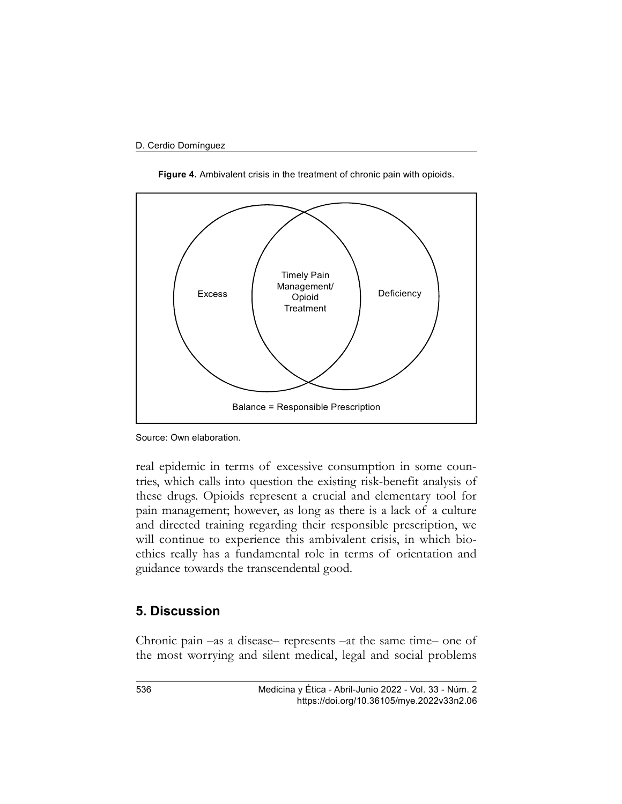

Figure 4. Ambivalent crisis in the treatment of chronic pain with opioids.

real epidemic in terms of excessive consumption in some countries, which calls into question the existing risk-benefit analysis of these drugs. Opioids represent a crucial and elementary tool for pain management; however, as long as there is a lack of a culture and directed training regarding their responsible prescription, we will continue to experience this ambivalent crisis, in which bioethics really has a fundamental role in terms of orientation and guidance towards the transcendental good.

#### 5. Discussion

Chronic pain –as a disease– represents –at the same time– one of the most worrying and silent medical, legal and social problems

Source: Own elaboration.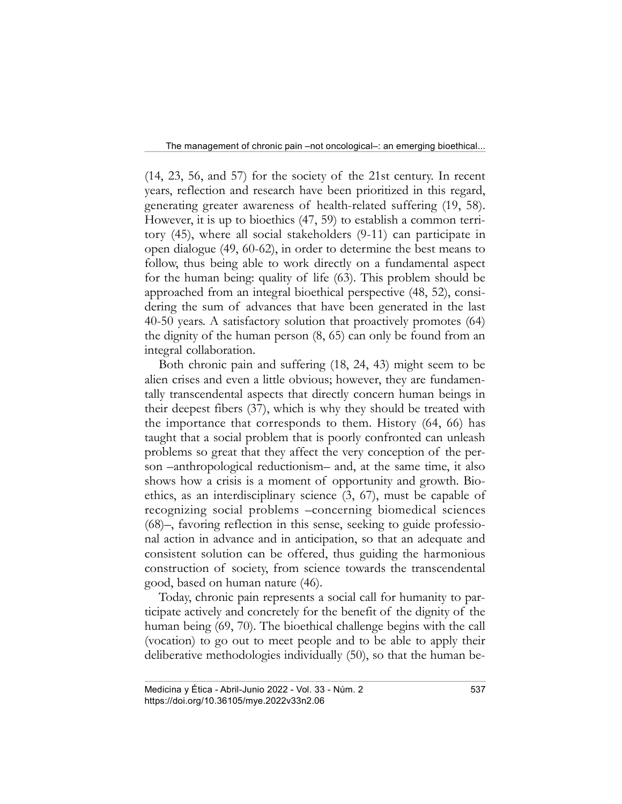(14, 23, 56, and 57) for the society of the 21st century. In recent years, reflection and research have been prioritized in this regard, generating greater awareness of health-related suffering (19, 58). However, it is up to bioethics (47, 59) to establish a common territory (45), where all social stakeholders (9-11) can participate in open dialogue (49, 60-62), in order to determine the best means to follow, thus being able to work directly on a fundamental aspect for the human being: quality of life (63). This problem should be approached from an integral bioethical perspective (48, 52), considering the sum of advances that have been generated in the last 40-50 years. A satisfactory solution that proactively promotes (64) the dignity of the human person (8, 65) can only be found from an integral collaboration.

Both chronic pain and suffering (18, 24, 43) might seem to be alien crises and even a little obvious; however, they are fundamentally transcendental aspects that directly concern human beings in their deepest fibers (37), which is why they should be treated with the importance that corresponds to them. History (64, 66) has taught that a social problem that is poorly confronted can unleash problems so great that they affect the very conception of the person –anthropological reductionism– and, at the same time, it also shows how a crisis is a moment of opportunity and growth. Bioethics, as an interdisciplinary science (3, 67), must be capable of recognizing social problems –concerning biomedical sciences (68)–, favoring reflection in this sense, seeking to guide professional action in advance and in anticipation, so that an adequate and consistent solution can be offered, thus guiding the harmonious construction of society, from science towards the transcendental good, based on human nature (46).

Today, chronic pain represents a social call for humanity to participate actively and concretely for the benefit of the dignity of the human being (69, 70). The bioethical challenge begins with the call (vocation) to go out to meet people and to be able to apply their deliberative methodologies individually (50), so that the human be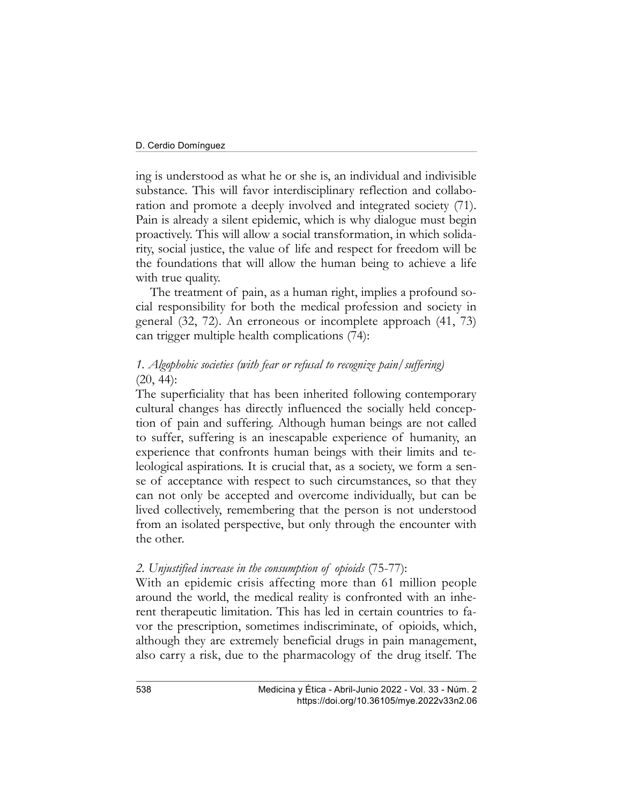ing is understood as what he or she is, an individual and indivisible substance. This will favor interdisciplinary reflection and collaboration and promote a deeply involved and integrated society (71). Pain is already a silent epidemic, which is why dialogue must begin proactively. This will allow a social transformation, in which solidarity, social justice, the value of life and respect for freedom will be the foundations that will allow the human being to achieve a life with true quality.

The treatment of pain, as a human right, implies a profound social responsibility for both the medical profession and society in general (32, 72). An erroneous or incomplete approach (41, 73) can trigger multiple health complications (74):

### 1. Algophobic societies (with fear or refusal to recognize pain/suffering)  $(20, 44)$ :

The superficiality that has been inherited following contemporary cultural changes has directly influenced the socially held conception of pain and suffering. Although human beings are not called to suffer, suffering is an inescapable experience of humanity, an experience that confronts human beings with their limits and teleological aspirations. It is crucial that, as a society, we form a sense of acceptance with respect to such circumstances, so that they can not only be accepted and overcome individually, but can be lived collectively, remembering that the person is not understood from an isolated perspective, but only through the encounter with the other.

### 2. Unjustified increase in the consumption of opioids (75-77):

With an epidemic crisis affecting more than 61 million people around the world, the medical reality is confronted with an inherent therapeutic limitation. This has led in certain countries to favor the prescription, sometimes indiscriminate, of opioids, which, although they are extremely beneficial drugs in pain management, also carry a risk, due to the pharmacology of the drug itself. The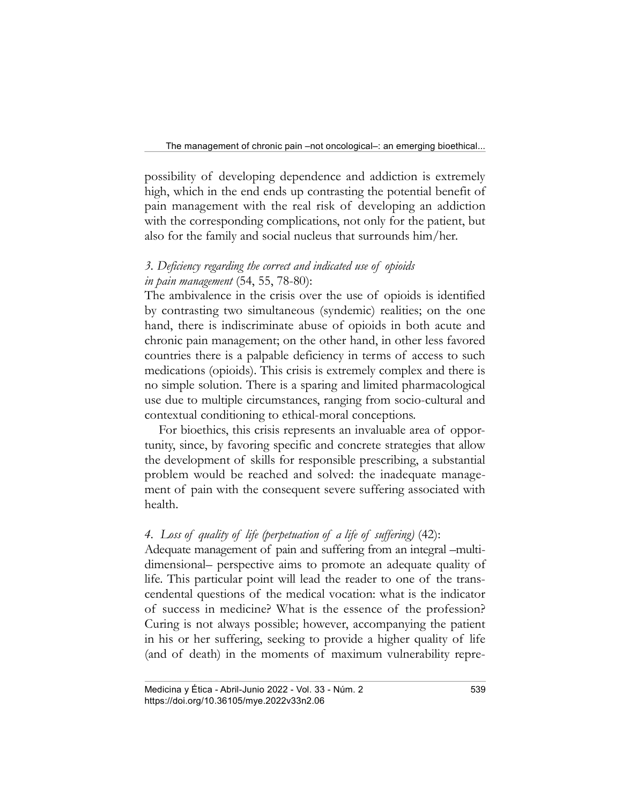possibility of developing dependence and addiction is extremely high, which in the end ends up contrasting the potential benefit of pain management with the real risk of developing an addiction with the corresponding complications, not only for the patient, but also for the family and social nucleus that surrounds him/her.

### 3. Deficiency regarding the correct and indicated use of opioids in pain management (54, 55, 78-80):

The ambivalence in the crisis over the use of opioids is identified by contrasting two simultaneous (syndemic) realities; on the one hand, there is indiscriminate abuse of opioids in both acute and chronic pain management; on the other hand, in other less favored countries there is a palpable deficiency in terms of access to such medications (opioids). This crisis is extremely complex and there is no simple solution. There is a sparing and limited pharmacological use due to multiple circumstances, ranging from socio-cultural and contextual conditioning to ethical-moral conceptions.

For bioethics, this crisis represents an invaluable area of opportunity, since, by favoring specific and concrete strategies that allow the development of skills for responsible prescribing, a substantial problem would be reached and solved: the inadequate management of pain with the consequent severe suffering associated with health.

## 4. Loss of quality of life (perpetuation of a life of suffering) (42):

Adequate management of pain and suffering from an integral –multidimensional– perspective aims to promote an adequate quality of life. This particular point will lead the reader to one of the transcendental questions of the medical vocation: what is the indicator of success in medicine? What is the essence of the profession? Curing is not always possible; however, accompanying the patient in his or her suffering, seeking to provide a higher quality of life (and of death) in the moments of maximum vulnerability repre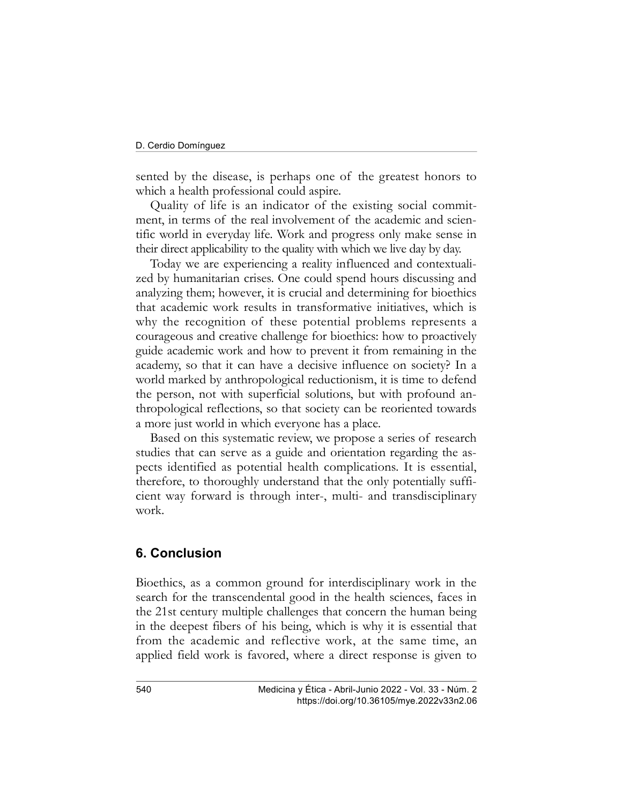sented by the disease, is perhaps one of the greatest honors to which a health professional could aspire.

Quality of life is an indicator of the existing social commitment, in terms of the real involvement of the academic and scientific world in everyday life. Work and progress only make sense in their direct applicability to the quality with which we live day by day.

Today we are experiencing a reality influenced and contextualized by humanitarian crises. One could spend hours discussing and analyzing them; however, it is crucial and determining for bioethics that academic work results in transformative initiatives, which is why the recognition of these potential problems represents a courageous and creative challenge for bioethics: how to proactively guide academic work and how to prevent it from remaining in the academy, so that it can have a decisive influence on society? In a world marked by anthropological reductionism, it is time to defend the person, not with superficial solutions, but with profound anthropological reflections, so that society can be reoriented towards a more just world in which everyone has a place.

Based on this systematic review, we propose a series of research studies that can serve as a guide and orientation regarding the aspects identified as potential health complications. It is essential, therefore, to thoroughly understand that the only potentially sufficient way forward is through inter-, multi- and transdisciplinary work.

## 6. Conclusion

Bioethics, as a common ground for interdisciplinary work in the search for the transcendental good in the health sciences, faces in the 21st century multiple challenges that concern the human being in the deepest fibers of his being, which is why it is essential that from the academic and reflective work, at the same time, an applied field work is favored, where a direct response is given to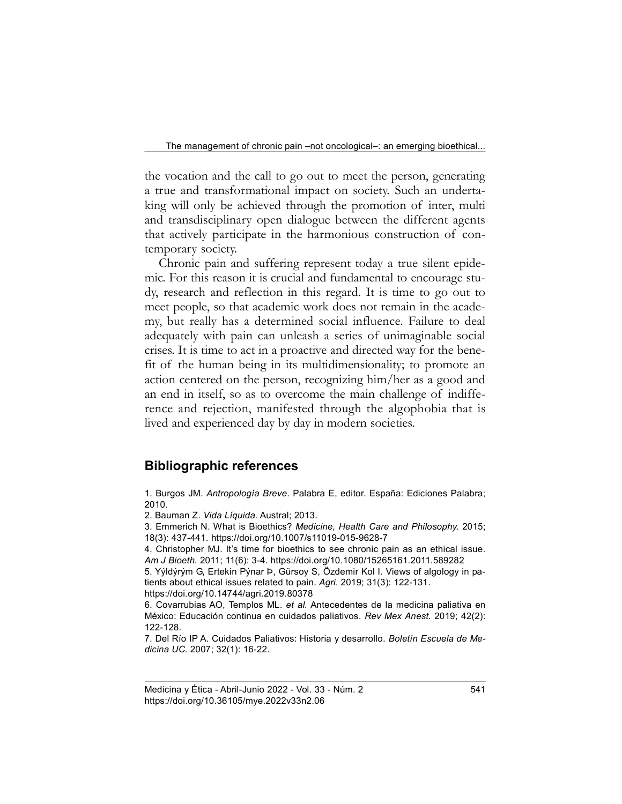the vocation and the call to go out to meet the person, generating a true and transformational impact on society. Such an undertaking will only be achieved through the promotion of inter, multi and transdisciplinary open dialogue between the different agents that actively participate in the harmonious construction of contemporary society.

Chronic pain and suffering represent today a true silent epidemic. For this reason it is crucial and fundamental to encourage study, research and reflection in this regard. It is time to go out to meet people, so that academic work does not remain in the academy, but really has a determined social influence. Failure to deal adequately with pain can unleash a series of unimaginable social crises. It is time to act in a proactive and directed way for the benefit of the human being in its multidimensionality; to promote an action centered on the person, recognizing him/her as a good and an end in itself, so as to overcome the main challenge of indifference and rejection, manifested through the algophobia that is lived and experienced day by day in modern societies.

### Bibliographic references

1. Burgos JM. Antropología Breve. Palabra E, editor. España: Ediciones Palabra; 2010.

2. Bauman Z. Vida Líquida. Austral; 2013.

3. Emmerich N. What is Bioethics? Medicine, Health Care and Philosophy. 2015; 18(3): 437-441. https://doi.org/10.1007/s11019-015-9628-7

4. Christopher MJ. It's time for bioethics to see chronic pain as an ethical issue. Am J Bioeth. 2011; 11(6): 3-4. https://doi.org/10.1080/15265161.2011.589282

5. Yýldýrým G, Ertekin Pýnar Þ, Gürsoy S, Özdemir Kol I. Views of algology in patients about ethical issues related to pain. Agri. 2019; 31(3): 122-131. https://doi.org/10.14744/agri.2019.80378

6. Covarrubias AO, Templos ML. et al. Antecedentes de la medicina paliativa en México: Educación continua en cuidados paliativos. Rev Mex Anest. 2019; 42(2): 122-128.

7. Del Río IP A. Cuidados Paliativos: Historia y desarrollo. Boletín Escuela de Medicina UC. 2007; 32(1): 16-22.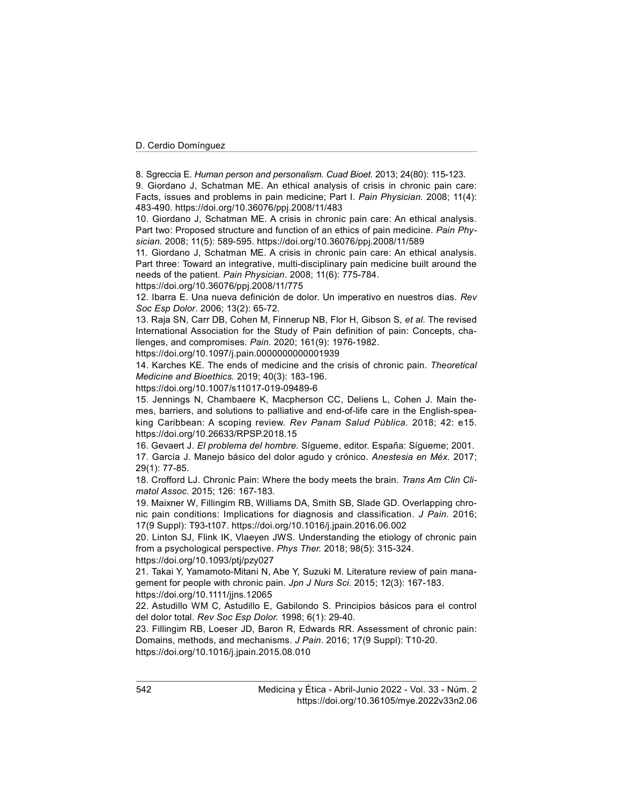8. Sgreccia E. Human person and personalism. Cuad Bioet. 2013; 24(80): 115-123.

9. Giordano J, Schatman ME. An ethical analysis of crisis in chronic pain care: Facts, issues and problems in pain medicine; Part I. Pain Physician. 2008; 11(4): 483-490. https://doi.org/10.36076/ppj.2008/11/483

10. Giordano J, Schatman ME. A crisis in chronic pain care: An ethical analysis. Part two: Proposed structure and function of an ethics of pain medicine. Pain Physician. 2008; 11(5): 589-595. https://doi.org/10.36076/ppj.2008/11/589

11. Giordano J, Schatman ME. A crisis in chronic pain care: An ethical analysis. Part three: Toward an integrative, multi-disciplinary pain medicine built around the needs of the patient. Pain Physician. 2008; 11(6): 775-784.

https://doi.org/10.36076/ppj.2008/11/775

12. Ibarra E. Una nueva definición de dolor. Un imperativo en nuestros días. Rev Soc Esp Dolor. 2006; 13(2): 65-72.

13. Raja SN, Carr DB, Cohen M, Finnerup NB, Flor H, Gibson S, et al. The revised International Association for the Study of Pain definition of pain: Concepts, challenges, and compromises. Pain. 2020; 161(9): 1976-1982.

https://doi.org/10.1097/j.pain.0000000000001939

14. Karches KE. The ends of medicine and the crisis of chronic pain. Theoretical Medicine and Bioethics. 2019; 40(3): 183-196.

https://doi.org/10.1007/s11017-019-09489-6

15. Jennings N, Chambaere K, Macpherson CC, Deliens L, Cohen J. Main themes, barriers, and solutions to palliative and end-of-life care in the English-speaking Caribbean: A scoping review. Rev Panam Salud Pública. 2018; 42: e15. https://doi.org/10.26633/RPSP.2018.15

16. Gevaert J. El problema del hombre. Sígueme, editor. España: Sígueme; 2001. 17. García J. Manejo básico del dolor agudo y crónico. Anestesia en Méx. 2017; 29(1): 77-85.

18. Crofford LJ. Chronic Pain: Where the body meets the brain. Trans Am Clin Climatol Assoc. 2015; 126: 167-183.

19. Maixner W, Fillingim RB, Williams DA, Smith SB, Slade GD. Overlapping chronic pain conditions: Implications for diagnosis and classification. J Pain. 2016; 17(9 Suppl): T93-t107. https://doi.org/10.1016/j.jpain.2016.06.002

20. Linton SJ, Flink IK, Vlaeyen JWS. Understanding the etiology of chronic pain from a psychological perspective. Phys Ther. 2018; 98(5): 315-324. https://doi.org/10.1093/ptj/pzy027

21. Takai Y, Yamamoto-Mitani N, Abe Y, Suzuki M. Literature review of pain management for people with chronic pain. Jpn J Nurs Sci. 2015; 12(3): 167-183. https://doi.org/10.1111/jjns.12065

22. Astudillo WM C, Astudillo E, Gabilondo S. Principios básicos para el control del dolor total. Rev Soc Esp Dolor. 1998; 6(1): 29-40.

23. Fillingim RB, Loeser JD, Baron R, Edwards RR. Assessment of chronic pain: Domains, methods, and mechanisms. J Pain. 2016; 17(9 Suppl): T10-20. https://doi.org/10.1016/j.jpain.2015.08.010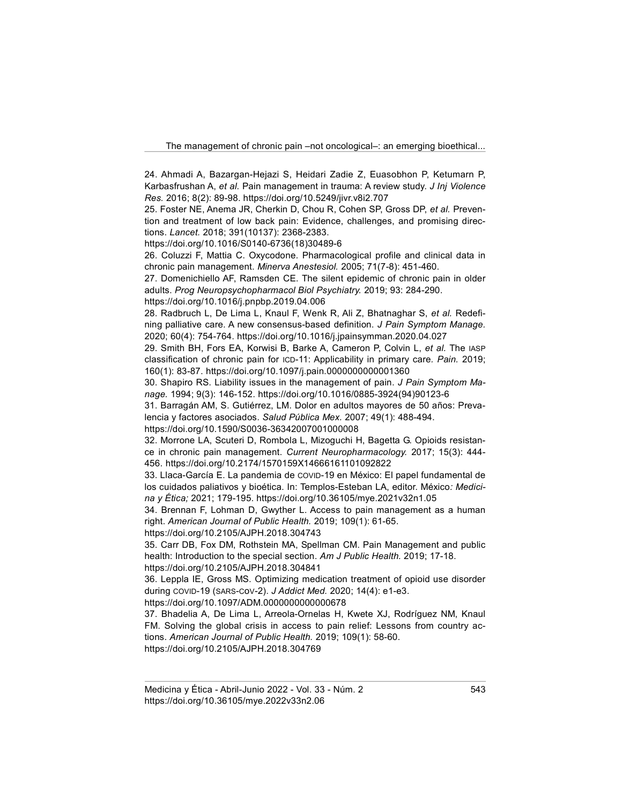24. Ahmadi A, Bazargan-Hejazi S, Heidari Zadie Z, Euasobhon P, Ketumarn P, Karbasfrushan A, et al. Pain management in trauma: A review study. J Inj Violence Res. 2016; 8(2): 89-98. https://doi.org/10.5249/jivr.v8i2.707

25. Foster NE, Anema JR, Cherkin D, Chou R, Cohen SP, Gross DP, et al. Prevention and treatment of low back pain: Evidence, challenges, and promising directions. Lancet. 2018; 391(10137): 2368-2383.

https://doi.org/10.1016/S0140-6736(18)30489-6

26. Coluzzi F, Mattia C. Oxycodone. Pharmacological profile and clinical data in chronic pain management. Minerva Anestesiol. 2005; 71(7-8): 451-460.

27. Domenichiello AF, Ramsden CE. The silent epidemic of chronic pain in older adults. Prog Neuropsychopharmacol Biol Psychiatry. 2019; 93: 284-290.

https://doi.org/10.1016/j.pnpbp.2019.04.006

28. Radbruch L, De Lima L, Knaul F, Wenk R, Ali Z, Bhatnaghar S, et al. Redefining palliative care. A new consensus-based definition. J Pain Symptom Manage. 2020; 60(4): 754-764. https://doi.org/10.1016/j.jpainsymman.2020.04.027

29. Smith BH, Fors EA, Korwisi B, Barke A, Cameron P, Colvin L, et al. The IASP classification of chronic pain for ICD-11: Applicability in primary care. Pain. 2019; 160(1): 83-87. https://doi.org/10.1097/j.pain.0000000000001360

30. Shapiro RS. Liability issues in the management of pain. J Pain Symptom Manage. 1994; 9(3): 146-152. https://doi.org/10.1016/0885-3924(94)90123-6

31. Barragán AM, S. Gutiérrez, LM. Dolor en adultos mayores de 50 años: Prevalencia y factores asociados. Salud Pública Mex. 2007; 49(1): 488-494.

https://doi.org/10.1590/S0036-36342007001000008

32. Morrone LA, Scuteri D, Rombola L, Mizoguchi H, Bagetta G. Opioids resistance in chronic pain management. Current Neuropharmacology. 2017; 15(3): 444-456. https://doi.org/10.2174/1570159X14666161101092822

33. Llaca-García E. La pandemia de COVID-19 en México: El papel fundamental de los cuidados paliativos y bioética. In: Templos-Esteban LA, editor. México: Medicina y Ética; 2021; 179-195. https://doi.org/10.36105/mye.2021v32n1.05

34. Brennan F, Lohman D, Gwyther L. Access to pain management as a human right. American Journal of Public Health. 2019; 109(1): 61-65.

https://doi.org/10.2105/AJPH.2018.304743

35. Carr DB, Fox DM, Rothstein MA, Spellman CM. Pain Management and public health: Introduction to the special section. Am J Public Health. 2019; 17-18. https://doi.org/10.2105/AJPH.2018.304841

36. Leppla IE, Gross MS. Optimizing medication treatment of opioid use disorder

during COVID-19 (SARS-CoV-2). J Addict Med. 2020; 14(4): e1-e3.

https://doi.org/10.1097/ADM.0000000000000678

37. Bhadelia A, De Lima L, Arreola-Ornelas H, Kwete XJ, Rodríguez NM, Knaul FM. Solving the global crisis in access to pain relief: Lessons from country actions. American Journal of Public Health. 2019; 109(1): 58-60. https://doi.org/10.2105/AJPH.2018.304769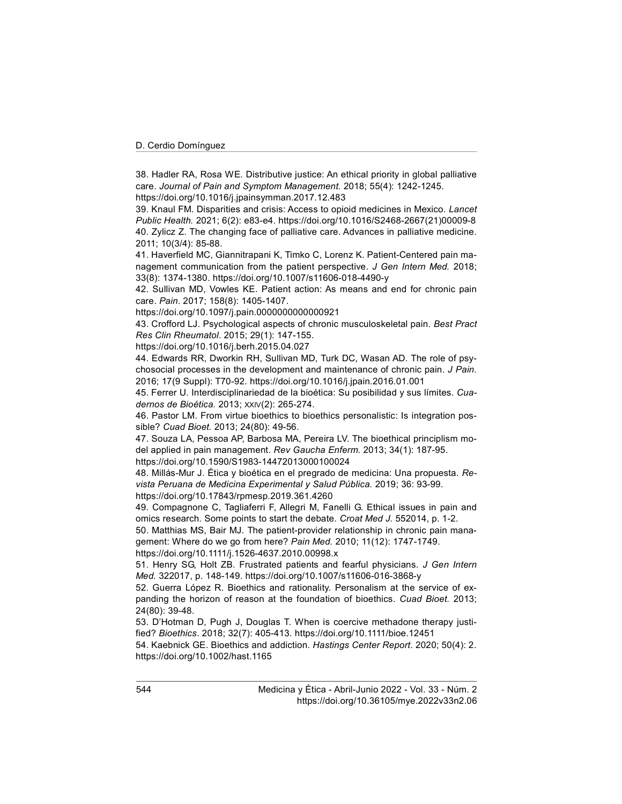38. Hadler RA, Rosa WE. Distributive justice: An ethical priority in global palliative care. Journal of Pain and Symptom Management. 2018; 55(4): 1242-1245.

https://doi.org/10.1016/j.jpainsymman.2017.12.483

39. Knaul FM. Disparities and crisis: Access to opioid medicines in Mexico. Lancet Public Health. 2021; 6(2): e83-e4. https://doi.org/10.1016/S2468-2667(21)00009-8 40. Zylicz Z. The changing face of palliative care. Advances in palliative medicine. 2011; 10(3/4): 85-88.

41. Haverfield MC, Giannitrapani K, Timko C, Lorenz K. Patient-Centered pain management communication from the patient perspective. J Gen Intern Med. 2018; 33(8): 1374-1380. https://doi.org/10.1007/s11606-018-4490-y

42. Sullivan MD, Vowles KE. Patient action: As means and end for chronic pain care. Pain. 2017; 158(8): 1405-1407.

https://doi.org/10.1097/j.pain.0000000000000921

43. Crofford LJ. Psychological aspects of chronic musculoskeletal pain. Best Pract Res Clin Rheumatol. 2015; 29(1): 147-155.

https://doi.org/10.1016/j.berh.2015.04.027

44. Edwards RR, Dworkin RH, Sullivan MD, Turk DC, Wasan AD. The role of psychosocial processes in the development and maintenance of chronic pain. J Pain. 2016; 17(9 Suppl): T70-92. https://doi.org/10.1016/j.jpain.2016.01.001

45. Ferrer U. Interdisciplinariedad de la bioética: Su posibilidad y sus límites. Cuadernos de Bioética. 2013; XXIV(2): 265-274.

46. Pastor LM. From virtue bioethics to bioethics personalistic: Is integration possible? Cuad Bioet. 2013; 24(80): 49-56.

47. Souza LA, Pessoa AP, Barbosa MA, Pereira LV. The bioethical principlism model applied in pain management. Rev Gaucha Enferm. 2013; 34(1): 187-95.

https://doi.org/10.1590/S1983-14472013000100024

48. Millás-Mur J. Ética y bioética en el pregrado de medicina: Una propuesta. Revista Peruana de Medicina Experimental y Salud Pública. 2019; 36: 93-99. https://doi.org/10.17843/rpmesp.2019.361.4260

49. Compagnone C, Tagliaferri F, Allegri M, Fanelli G. Ethical issues in pain and omics research. Some points to start the debate. Croat Med J. 552014, p. 1-2.

50. Matthias MS, Bair MJ. The patient-provider relationship in chronic pain management: Where do we go from here? Pain Med. 2010; 11(12): 1747-1749. https://doi.org/10.1111/j.1526-4637.2010.00998.x

51. Henry SG, Holt ZB. Frustrated patients and fearful physicians. J Gen Intern Med. 322017, p. 148-149. https://doi.org/10.1007/s11606-016-3868-y

52. Guerra López R. Bioethics and rationality. Personalism at the service of expanding the horizon of reason at the foundation of bioethics. Cuad Bioet. 2013; 24(80): 39-48.

53. D'Hotman D, Pugh J, Douglas T. When is coercive methadone therapy justified? Bioethics. 2018; 32(7): 405-413. https://doi.org/10.1111/bioe.12451

54. Kaebnick GE. Bioethics and addiction. Hastings Center Report. 2020; 50(4): 2. https://doi.org/10.1002/hast.1165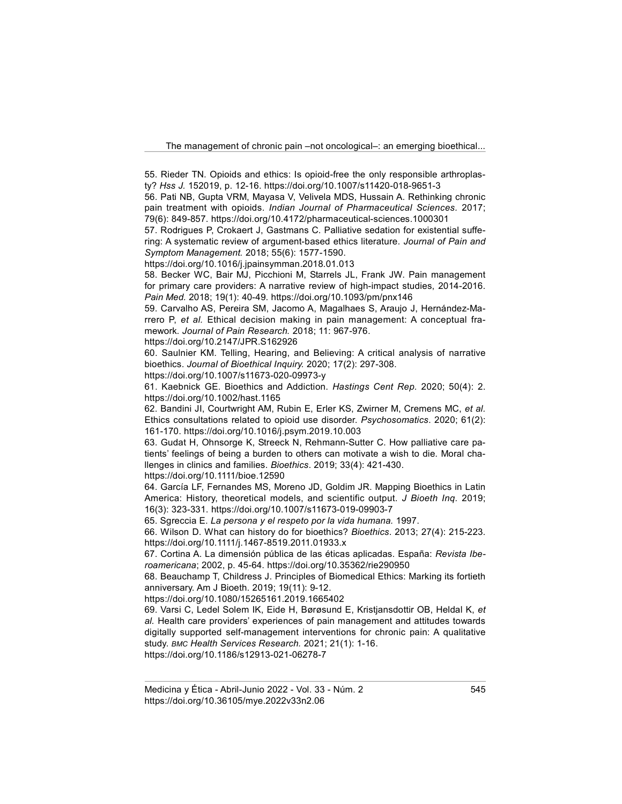55. Rieder TN. Opioids and ethics: Is opioid-free the only responsible arthroplasty? Hss J. 152019, p. 12-16. https://doi.org/10.1007/s11420-018-9651-3

56. Pati NB, Gupta VRM, Mayasa V, Velivela MDS, Hussain A. Rethinking chronic pain treatment with opioids. Indian Journal of Pharmaceutical Sciences. 2017; 79(6): 849-857. https://doi.org/10.4172/pharmaceutical-sciences.1000301

57. Rodrigues P, Crokaert J, Gastmans C. Palliative sedation for existential suffering: A systematic review of argument-based ethics literature. Journal of Pain and Symptom Management. 2018; 55(6): 1577-1590.

https://doi.org/10.1016/j.jpainsymman.2018.01.013

58. Becker WC, Bair MJ, Picchioni M, Starrels JL, Frank JW. Pain management for primary care providers: A narrative review of high-impact studies, 2014-2016. Pain Med. 2018; 19(1): 40-49. https://doi.org/10.1093/pm/pnx146

59. Carvalho AS, Pereira SM, Jacomo A, Magalhaes S, Araujo J, Hernández-Marrero P, et al. Ethical decision making in pain management: A conceptual framework. Journal of Pain Research. 2018; 11: 967-976.

https://doi.org/10.2147/JPR.S162926

60. Saulnier KM. Telling, Hearing, and Believing: A critical analysis of narrative bioethics. Journal of Bioethical Inquiry. 2020; 17(2): 297-308.

https://doi.org/10.1007/s11673-020-09973-y

61. Kaebnick GE. Bioethics and Addiction. Hastings Cent Rep. 2020; 50(4): 2. https://doi.org/10.1002/hast.1165

62. Bandini JI, Courtwright AM, Rubin E, Erler KS, Zwirner M, Cremens MC, et al. Ethics consultations related to opioid use disorder. Psychosomatics. 2020; 61(2): 161-170. https://doi.org/10.1016/j.psym.2019.10.003

63. Gudat H, Ohnsorge K, Streeck N, Rehmann-Sutter C. How palliative care patients' feelings of being a burden to others can motivate a wish to die. Moral challenges in clinics and families. Bioethics. 2019; 33(4): 421-430.

https://doi.org/10.1111/bioe.12590

64. García LF, Fernandes MS, Moreno JD, Goldim JR. Mapping Bioethics in Latin America: History, theoretical models, and scientific output. J Bioeth Inq. 2019; 16(3): 323-331. https://doi.org/10.1007/s11673-019-09903-7

65. Sgreccia E. La persona y el respeto por la vida humana. 1997.

66. Wilson D. What can history do for bioethics? Bioethics. 2013; 27(4): 215-223. https://doi.org/10.1111/j.1467-8519.2011.01933.x

67. Cortina A. La dimensión pública de las éticas aplicadas. España: Revista Iberoamericana; 2002, p. 45-64. https://doi.org/10.35362/rie290950

68. Beauchamp T, Childress J. Principles of Biomedical Ethics: Marking its fortieth anniversary. Am J Bioeth. 2019; 19(11): 9-12.

https://doi.org/10.1080/15265161.2019.1665402

69. Varsi C, Ledel Solem IK, Eide H, Børøsund E, Kristjansdottir OB, Heldal K, et al. Health care providers' experiences of pain management and attitudes towards digitally supported self-management interventions for chronic pain: A qualitative study. BMC Health Services Research. 2021; 21(1): 1-16.

https://doi.org/10.1186/s12913-021-06278-7